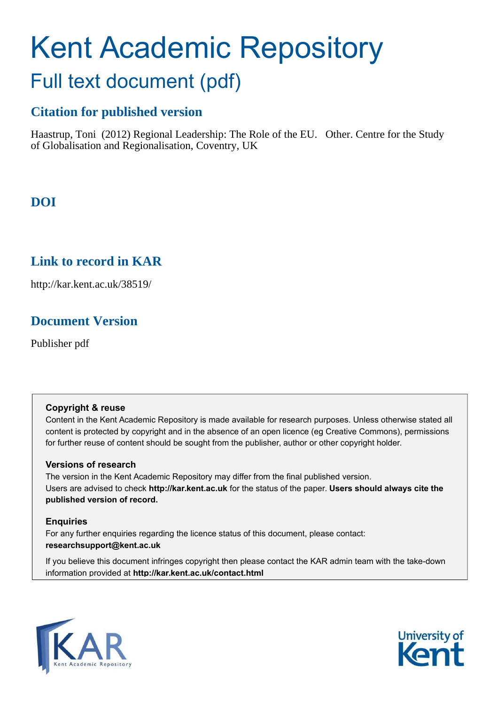# Kent Academic Repository Full text document (pdf)

# **Citation for published version**

Haastrup, Toni (2012) Regional Leadership: The Role of the EU. Other. Centre for the Study of Globalisation and Regionalisation, Coventry, UK

# **DOI**

# **Link to record in KAR**

http://kar.kent.ac.uk/38519/

# **Document Version**

Publisher pdf

## **Copyright & reuse**

Content in the Kent Academic Repository is made available for research purposes. Unless otherwise stated all content is protected by copyright and in the absence of an open licence (eg Creative Commons), permissions for further reuse of content should be sought from the publisher, author or other copyright holder.

## **Versions of research**

The version in the Kent Academic Repository may differ from the final published version. Users are advised to check **http://kar.kent.ac.uk** for the status of the paper. **Users should always cite the published version of record.**

## **Enquiries**

For any further enquiries regarding the licence status of this document, please contact: **researchsupport@kent.ac.uk**

If you believe this document infringes copyright then please contact the KAR admin team with the take-down information provided at **http://kar.kent.ac.uk/contact.html**



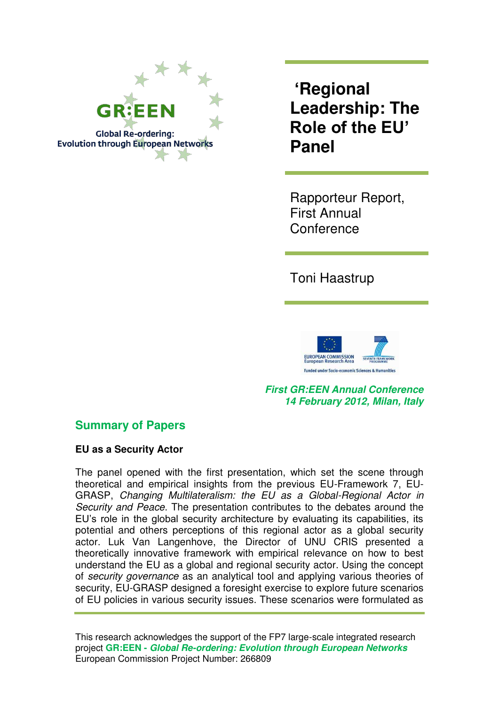

**'Regional Leadership: The Role of the EU' Panel** 

Rapporteur Report, First Annual **Conference** 

Toni Haastrup



*First GR:EEN Annual Conference 14 February 2012, Milan, Italy* 

## **Summary of Papers**

**EU as a Security Actor** 

The panel opened with the first presentation, which set the scene through theoretical and empirical insights from the previous EU-Framework 7, EU-GRASP, *Changing Multilateralism: the EU as a Global-Regional Actor in Security and Peace*. The presentation contributes to the debates around the EU"s role in the global security architecture by evaluating its capabilities, its potential and others perceptions of this regional actor as a global security actor. Luk Van Langenhove, the Director of UNU CRIS presented a theoretically innovative framework with empirical relevance on how to best understand the EU as a global and regional security actor. Using the concept of *security governance* as an analytical tool and applying various theories of security, EU-GRASP designed a foresight exercise to explore future scenarios of EU policies in various security issues. These scenarios were formulated as

This research acknowledges the support of the FP7 large-scale integrated research project **GR:EEN -** *Global Re-ordering: Evolution through European Networks* European Commission Project Number: 266809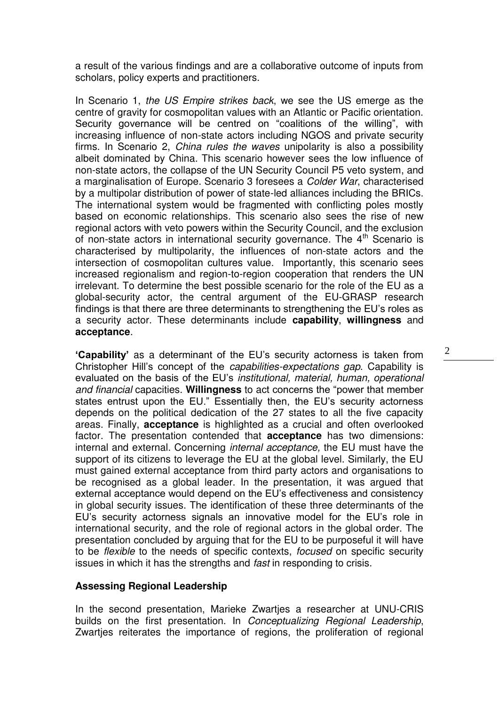a result of the various findings and are a collaborative outcome of inputs from scholars, policy experts and practitioners.

In Scenario 1, *the US Empire strikes back*, we see the US emerge as the centre of gravity for cosmopolitan values with an Atlantic or Pacific orientation. Security governance will be centred on "coalitions of the willing", with increasing influence of non-state actors including NGOS and private security firms. In Scenario 2, *China rules the waves* unipolarity is also a possibility albeit dominated by China. This scenario however sees the low influence of non-state actors, the collapse of the UN Security Council P5 veto system, and a marginalisation of Europe. Scenario 3 foresees a *Colder War*, characterised by a multipolar distribution of power of state-led alliances including the BRICs. The international system would be fragmented with conflicting poles mostly based on economic relationships. This scenario also sees the rise of new regional actors with veto powers within the Security Council, and the exclusion of non-state actors in international security governance. The  $4<sup>th</sup>$  Scenario is characterised by multipolarity, the influences of non-state actors and the intersection of cosmopolitan cultures value. Importantly, this scenario sees increased regionalism and region-to-region cooperation that renders the UN irrelevant. To determine the best possible scenario for the role of the EU as a global-security actor, the central argument of the EU-GRASP research findings is that there are three determinants to strengthening the EU"s roles as a security actor. These determinants include **capability**, **willingness** and **acceptance**.

**'Capability'** as a determinant of the EU"s security actorness is taken from Christopher Hill"s concept of the *capabilities-expectations gap*. Capability is evaluated on the basis of the EU"s *institutional, material, human, operational and financial* capacities. **Willingness** to act concerns the "power that member states entrust upon the EU." Essentially then, the EU's security actorness depends on the political dedication of the 27 states to all the five capacity areas. Finally, **acceptance** is highlighted as a crucial and often overlooked factor. The presentation contended that **acceptance** has two dimensions: internal and external. Concerning *internal acceptance,* the EU must have the support of its citizens to leverage the EU at the global level. Similarly, the EU must gained external acceptance from third party actors and organisations to be recognised as a global leader. In the presentation, it was argued that external acceptance would depend on the EU"s effectiveness and consistency in global security issues. The identification of these three determinants of the EU"s security actorness signals an innovative model for the EU"s role in international security, and the role of regional actors in the global order. The presentation concluded by arguing that for the EU to be purposeful it will have to be *flexible* to the needs of specific contexts, *focused* on specific security issues in which it has the strengths and *fast* in responding to crisis.

#### **Assessing Regional Leadership**

In the second presentation, Marieke Zwartjes a researcher at UNU-CRIS builds on the first presentation. In *Conceptualizing Regional Leadership*, Zwartjes reiterates the importance of regions, the proliferation of regional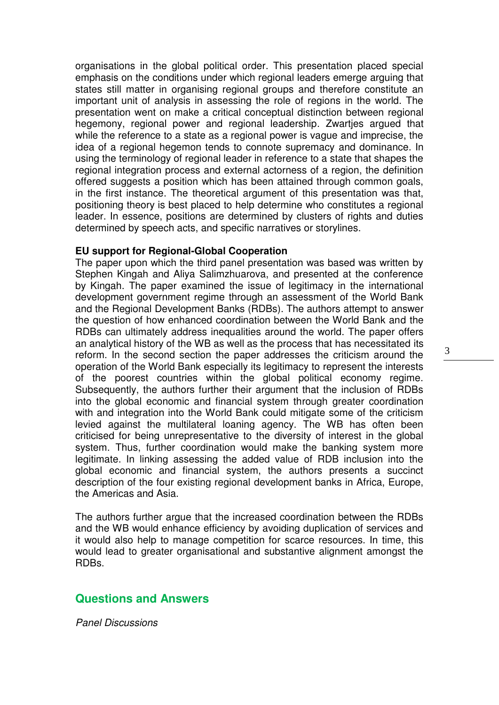organisations in the global political order. This presentation placed special emphasis on the conditions under which regional leaders emerge arguing that states still matter in organising regional groups and therefore constitute an important unit of analysis in assessing the role of regions in the world. The presentation went on make a critical conceptual distinction between regional hegemony, regional power and regional leadership. Zwartjes argued that while the reference to a state as a regional power is vague and imprecise, the idea of a regional hegemon tends to connote supremacy and dominance. In using the terminology of regional leader in reference to a state that shapes the regional integration process and external actorness of a region, the definition offered suggests a position which has been attained through common goals, in the first instance. The theoretical argument of this presentation was that, positioning theory is best placed to help determine who constitutes a regional leader. In essence, positions are determined by clusters of rights and duties determined by speech acts, and specific narratives or storylines.

#### **EU support for Regional-Global Cooperation**

The paper upon which the third panel presentation was based was written by Stephen Kingah and Aliya Salimzhuarova, and presented at the conference by Kingah. The paper examined the issue of legitimacy in the international development government regime through an assessment of the World Bank and the Regional Development Banks (RDBs). The authors attempt to answer the question of how enhanced coordination between the World Bank and the RDBs can ultimately address inequalities around the world. The paper offers an analytical history of the WB as well as the process that has necessitated its reform. In the second section the paper addresses the criticism around the operation of the World Bank especially its legitimacy to represent the interests of the poorest countries within the global political economy regime. Subsequently, the authors further their argument that the inclusion of RDBs into the global economic and financial system through greater coordination with and integration into the World Bank could mitigate some of the criticism levied against the multilateral loaning agency. The WB has often been criticised for being unrepresentative to the diversity of interest in the global system. Thus, further coordination would make the banking system more legitimate. In linking assessing the added value of RDB inclusion into the global economic and financial system, the authors presents a succinct description of the four existing regional development banks in Africa, Europe, the Americas and Asia.

The authors further argue that the increased coordination between the RDBs and the WB would enhance efficiency by avoiding duplication of services and it would also help to manage competition for scarce resources. In time, this would lead to greater organisational and substantive alignment amongst the RDBs.

## **Questions and Answers**

*Panel Discussions*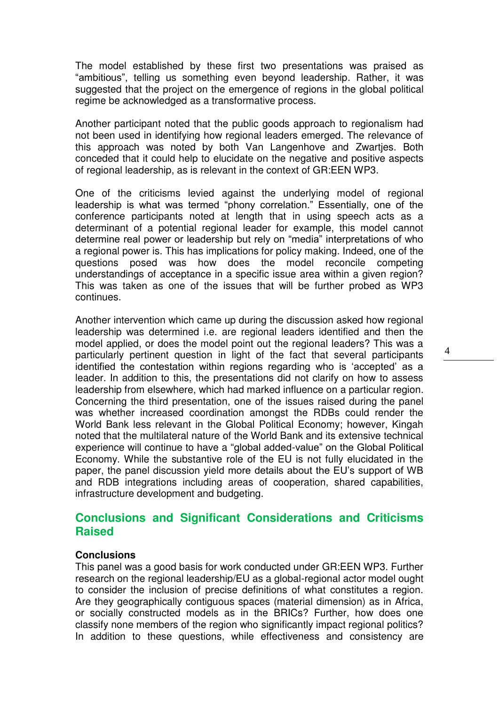The model established by these first two presentations was praised as "ambitious", telling us something even beyond leadership. Rather, it was suggested that the project on the emergence of regions in the global political regime be acknowledged as a transformative process.

Another participant noted that the public goods approach to regionalism had not been used in identifying how regional leaders emerged. The relevance of this approach was noted by both Van Langenhove and Zwartjes. Both conceded that it could help to elucidate on the negative and positive aspects of regional leadership, as is relevant in the context of GR:EEN WP3.

One of the criticisms levied against the underlying model of regional leadership is what was termed "phony correlation." Essentially, one of the conference participants noted at length that in using speech acts as a determinant of a potential regional leader for example, this model cannot determine real power or leadership but rely on "media" interpretations of who a regional power is. This has implications for policy making. Indeed, one of the questions posed was how does the model reconcile competing understandings of acceptance in a specific issue area within a given region? This was taken as one of the issues that will be further probed as WP3 continues.

Another intervention which came up during the discussion asked how regional leadership was determined i.e. are regional leaders identified and then the model applied, or does the model point out the regional leaders? This was a particularly pertinent question in light of the fact that several participants identified the contestation within regions regarding who is "accepted" as a leader. In addition to this, the presentations did not clarify on how to assess leadership from elsewhere, which had marked influence on a particular region. Concerning the third presentation, one of the issues raised during the panel was whether increased coordination amongst the RDBs could render the World Bank less relevant in the Global Political Economy; however, Kingah noted that the multilateral nature of the World Bank and its extensive technical experience will continue to have a "global added-value" on the Global Political Economy. While the substantive role of the EU is not fully elucidated in the paper, the panel discussion yield more details about the EU"s support of WB and RDB integrations including areas of cooperation, shared capabilities, infrastructure development and budgeting.

## **Conclusions and Significant Considerations and Criticisms Raised**

#### **Conclusions**

This panel was a good basis for work conducted under GR:EEN WP3. Further research on the regional leadership/EU as a global-regional actor model ought to consider the inclusion of precise definitions of what constitutes a region. Are they geographically contiguous spaces (material dimension) as in Africa, or socially constructed models as in the BRICs? Further, how does one classify none members of the region who significantly impact regional politics? In addition to these questions, while effectiveness and consistency are